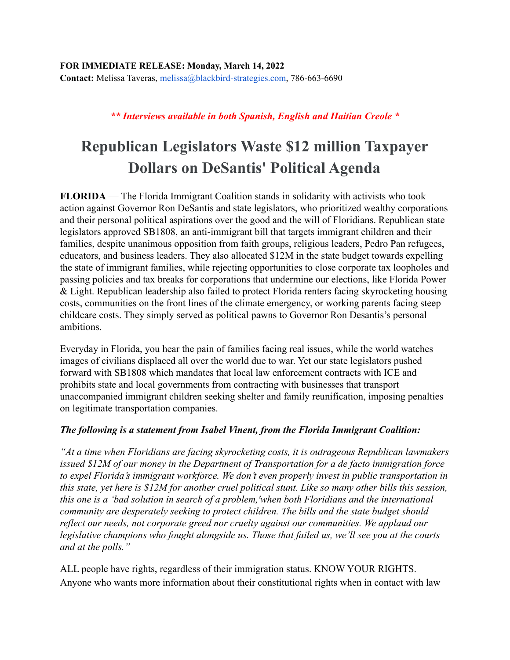## *\*\* Interviews available in both Spanish, English and Haitian Creole \**

## **Republican Legislators Waste \$12 million Taxpayer Dollars on DeSantis' Political Agenda**

**FLORIDA** — The Florida Immigrant Coalition stands in solidarity with activists who took action against Governor Ron DeSantis and state legislators, who prioritized wealthy corporations and their personal political aspirations over the good and the will of Floridians. Republican state legislators approved SB1808, an anti-immigrant bill that targets immigrant children and their families, despite unanimous opposition from faith groups, religious leaders, Pedro Pan refugees, educators, and business leaders. They also allocated \$12M in the state budget towards expelling the state of immigrant families, while rejecting opportunities to close corporate tax loopholes and passing policies and tax breaks for corporations that undermine our elections, like Florida Power & Light. Republican leadership also failed to protect Florida renters facing skyrocketing housing costs, communities on the front lines of the climate emergency, or working parents facing steep childcare costs. They simply served as political pawns to Governor Ron Desantis's personal ambitions.

Everyday in Florida, you hear the pain of families facing real issues, while the world watches images of civilians displaced all over the world due to war. Yet our state legislators pushed forward with SB1808 which mandates that local law enforcement contracts with ICE and prohibits state and local governments from contracting with businesses that transport unaccompanied immigrant children seeking shelter and family reunification, imposing penalties on legitimate transportation companies.

## *The following is a statement from Isabel Vinent, from the Florida Immigrant Coalition:*

*"At a time when Floridians are facing skyrocketing costs, it is outrageous Republican lawmakers issued \$12M of our money in the Department of Transportation for a de facto immigration force to expel Florida's immigrant workforce. We don't even properly invest in public transportation in this state, yet here is \$12M for another cruel political stunt. Like so many other bills this session, this one is a 'bad solution in search of a problem,'when both Floridians and the international community are desperately seeking to protect children. The bills and the state budget should reflect our needs, not corporate greed nor cruelty against our communities. We applaud our legislative champions who fought alongside us. Those that failed us, we'll see you at the courts and at the polls."*

ALL people have rights, regardless of their immigration status. KNOW YOUR RIGHTS. Anyone who wants more information about their constitutional rights when in contact with law